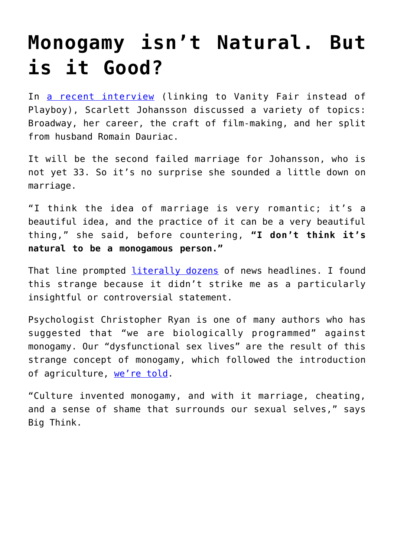## **[Monogamy isn't Natural. But](https://intellectualtakeout.org/2017/02/monogamy-isnt-natural-but-is-it-good/) [is it Good?](https://intellectualtakeout.org/2017/02/monogamy-isnt-natural-but-is-it-good/)**

In [a recent interview](http://www.vanityfair.com/style/2017/02/scarlett-johansson-marriage-and-monogamy) (linking to Vanity Fair instead of Playboy), Scarlett Johansson discussed a variety of topics: Broadway, her career, the craft of film-making, and her split from husband Romain Dauriac.

It will be the second failed marriage for Johansson, who is not yet 33. So it's no surprise she sounded a little down on marriage.

"I think the idea of marriage is very romantic; it's a beautiful idea, and the practice of it can be a very beautiful thing," she said, before countering, **"I don't think it's natural to be a monogamous person."**

That line prompted [literally dozens](https://www.google.com/search?q=%E2%80%9CI+don%E2%80%99t+think+it%E2%80%99s+natural+to+be+a+monogamous+person.%E2%80%9D&biw=1366&bih=589&ei=sG20WNaUA4TRjwS0269o&start=0&sa=N) of news headlines. I found this strange because it didn't strike me as a particularly insightful or controversial statement.

Psychologist Christopher Ryan is one of many authors who has suggested that "we are biologically programmed" against monogamy. Our "dysfunctional sex lives" are the result of this strange concept of monogamy, which followed the introduction of agriculture, [we're told.](http://bigthink.com/think-tank/how-to-make-love-like-a-caveman)

"Culture invented monogamy, and with it marriage, cheating, and a sense of shame that surrounds our sexual selves," says Big Think.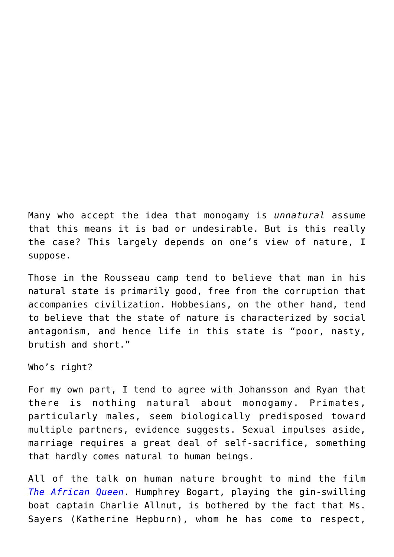Many who accept the idea that monogamy is *unnatural* assume that this means it is bad or undesirable. But is this really the case? This largely depends on one's view of nature, I suppose.

Those in the Rousseau camp tend to believe that man in his natural state is primarily good, free from the corruption that accompanies civilization. Hobbesians, on the other hand, tend to believe that the state of nature is characterized by social antagonism, and hence life in this state is "poor, nasty, brutish and short."

Who's right?

For my own part, I tend to agree with Johansson and Ryan that there is nothing natural about monogamy. Primates, particularly males, seem biologically predisposed toward multiple partners, evidence suggests. Sexual impulses aside, marriage requires a great deal of self-sacrifice, something that hardly comes natural to human beings.

All of the talk on human nature brought to mind the film *[The African Queen](http://amzn.to/2mDE3GA)*. Humphrey Bogart, playing the gin-swilling boat captain Charlie Allnut, is bothered by the fact that Ms. Sayers (Katherine Hepburn), whom he has come to respect,